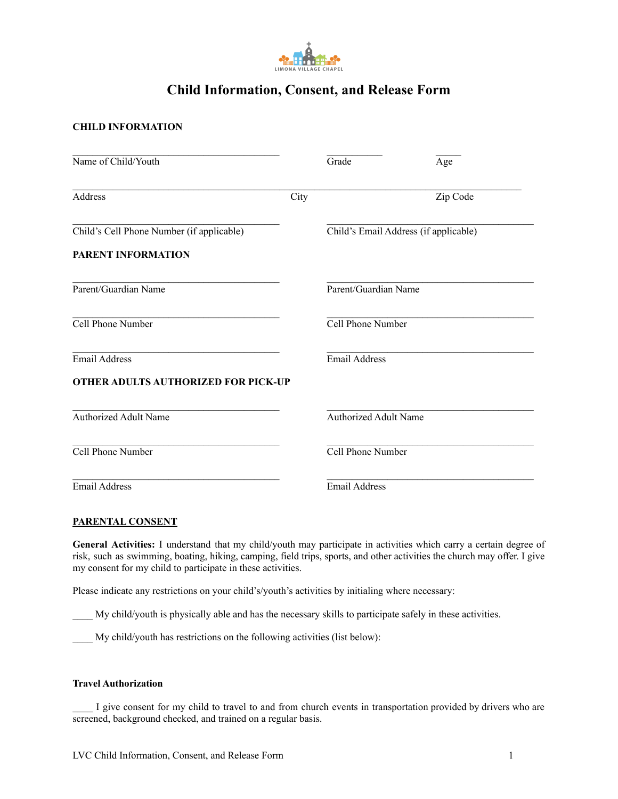

# **Child Information, Consent, and Release Form**

## **CHILD INFORMATION**

| Name of Child/Youth                        |      | Grade                                 | Age      |
|--------------------------------------------|------|---------------------------------------|----------|
| Address                                    | City |                                       | Zip Code |
| Child's Cell Phone Number (if applicable)  |      | Child's Email Address (if applicable) |          |
| PARENT INFORMATION                         |      |                                       |          |
| Parent/Guardian Name                       |      | Parent/Guardian Name                  |          |
| Cell Phone Number                          |      | Cell Phone Number                     |          |
| <b>Email Address</b>                       |      | <b>Email Address</b>                  |          |
| <b>OTHER ADULTS AUTHORIZED FOR PICK-UP</b> |      |                                       |          |
| <b>Authorized Adult Name</b>               |      | <b>Authorized Adult Name</b>          |          |
| Cell Phone Number                          |      | Cell Phone Number                     |          |
| <b>Email Address</b>                       |      | <b>Email Address</b>                  |          |

## **PARENTAL CONSENT**

**General Activities:** I understand that my child/youth may participate in activities which carry a certain degree of risk, such as swimming, boating, hiking, camping, field trips, sports, and other activities the church may offer. I give my consent for my child to participate in these activities.

Please indicate any restrictions on your child's/youth's activities by initialing where necessary:

\_\_\_\_ My child/youth is physically able and has the necessary skills to participate safely in these activities.

\_\_\_\_ My child/youth has restrictions on the following activities (list below):

## **Travel Authorization**

I give consent for my child to travel to and from church events in transportation provided by drivers who are screened, background checked, and trained on a regular basis.